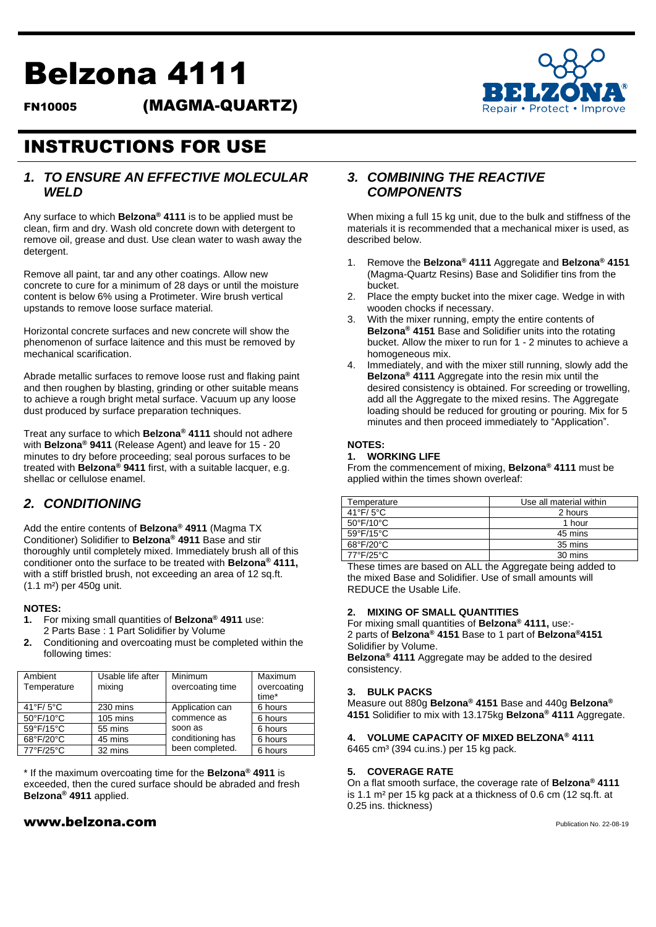# Belzona 4111

FN10005 (MAGMA-QUARTZ)



## INSTRUCTIONS FOR USE

## *1. TO ENSURE AN EFFECTIVE MOLECULAR WELD*

Any surface to which **Belzona® 4111** is to be applied must be clean, firm and dry. Wash old concrete down with detergent to remove oil, grease and dust. Use clean water to wash away the detergent.

Remove all paint, tar and any other coatings. Allow new concrete to cure for a minimum of 28 days or until the moisture content is below 6% using a Protimeter. Wire brush vertical upstands to remove loose surface material.

Horizontal concrete surfaces and new concrete will show the phenomenon of surface laitence and this must be removed by mechanical scarification.

Abrade metallic surfaces to remove loose rust and flaking paint and then roughen by blasting, grinding or other suitable means to achieve a rough bright metal surface. Vacuum up any loose dust produced by surface preparation techniques.

Treat any surface to which **Belzona® 4111** should not adhere with **Belzona® 9411** (Release Agent) and leave for 15 - 20 minutes to dry before proceeding; seal porous surfaces to be treated with **Belzona® 9411** first, with a suitable lacquer, e.g. shellac or cellulose enamel.

## *2. CONDITIONING*

Add the entire contents of **Belzona® 4911** (Magma TX Conditioner) Solidifier to **Belzona® 4911** Base and stir thoroughly until completely mixed. Immediately brush all of this conditioner onto the surface to be treated with **Belzona® 4111,**  with a stiff bristled brush, not exceeding an area of 12 sq.ft. (1.1 m²) per 450g unit.

## **NOTES:**

- **1.** For mixing small quantities of **Belzona® 4911** use: 2 Parts Base : 1 Part Solidifier by Volume
- **2.** Conditioning and overcoating must be completed within the following times:

| Ambient<br>Temperature | Usable life after<br>mixing | Minimum<br>overcoating time | Maximum<br>overcoating<br>time* |
|------------------------|-----------------------------|-----------------------------|---------------------------------|
| $41^{\circ}$ F/5°C     | 230 mins                    | Application can             | 6 hours                         |
| 50°F/10°C              | 105 mins                    | commence as                 | 6 hours                         |
| 59°F/15°C              | 55 mins                     | soon as                     | 6 hours                         |
| 68°F/20°C              | 45 mins                     | conditioning has            | 6 hours                         |
| 77°F/25°C              | 32 mins                     | been completed.             | 6 hours                         |

\* If the maximum overcoating time for the **Belzona® 4911** is exceeded, then the cured surface should be abraded and fresh **Belzona® 4911** applied.

## $www.belzona.com$

## *3. COMBINING THE REACTIVE COMPONENTS*

When mixing a full 15 kg unit, due to the bulk and stiffness of the materials it is recommended that a mechanical mixer is used, as described below.

- 1. Remove the **Belzona® 4111** Aggregate and **Belzona® 4151**  (Magma-Quartz Resins) Base and Solidifier tins from the bucket.
- 2. Place the empty bucket into the mixer cage. Wedge in with wooden chocks if necessary.
- 3. With the mixer running, empty the entire contents of **Belzona® 4151** Base and Solidifier units into the rotating bucket. Allow the mixer to run for 1 - 2 minutes to achieve a homogeneous mix.
- 4. Immediately, and with the mixer still running, slowly add the **Belzona® 4111** Aggregate into the resin mix until the desired consistency is obtained. For screeding or trowelling, add all the Aggregate to the mixed resins. The Aggregate loading should be reduced for grouting or pouring. Mix for 5 minutes and then proceed immediately to "Application".

## **NOTES:**

## **1. WORKING LIFE**

From the commencement of mixing, **Belzona® 4111** must be applied within the times shown overleaf:

| Temperature                    | Use all material within |  |
|--------------------------------|-------------------------|--|
| $41^{\circ}$ F/5°C             | 2 hours                 |  |
| $50^{\circ}$ F/10 $^{\circ}$ C | 1 hour                  |  |
| 59°F/15°C                      | 45 mins                 |  |
| $68^{\circ}F/20^{\circ}C$      | 35 mins                 |  |
| 77°F/25°C                      | 30 mins                 |  |

These times are based on ALL the Aggregate being added to the mixed Base and Solidifier. Use of small amounts will REDUCE the Usable Life.

## **2. MIXING OF SMALL QUANTITIES**

For mixing small quantities of **Belzona® 4111,** use:- 2 parts of **Belzona® 4151** Base to 1 part of **Belzona®4151** Solidifier by Volume.

**Belzona® 4111** Aggregate may be added to the desired consistency.

## **3. BULK PACKS**

Measure out 880g **Belzona® 4151** Base and 440g **Belzona® 4151** Solidifier to mix with 13.175kg **Belzona® 4111** Aggregate.

#### **4. VOLUME CAPACITY OF MIXED BELZONA® 4111** 6465 cm<sup>3</sup> (394 cu.ins.) per 15 kg pack.

## **5. COVERAGE RATE**

On a flat smooth surface, the coverage rate of **Belzona® 4111** is 1.1 m² per 15 kg pack at a thickness of 0.6 cm (12 sq.ft. at 0.25 ins. thickness)